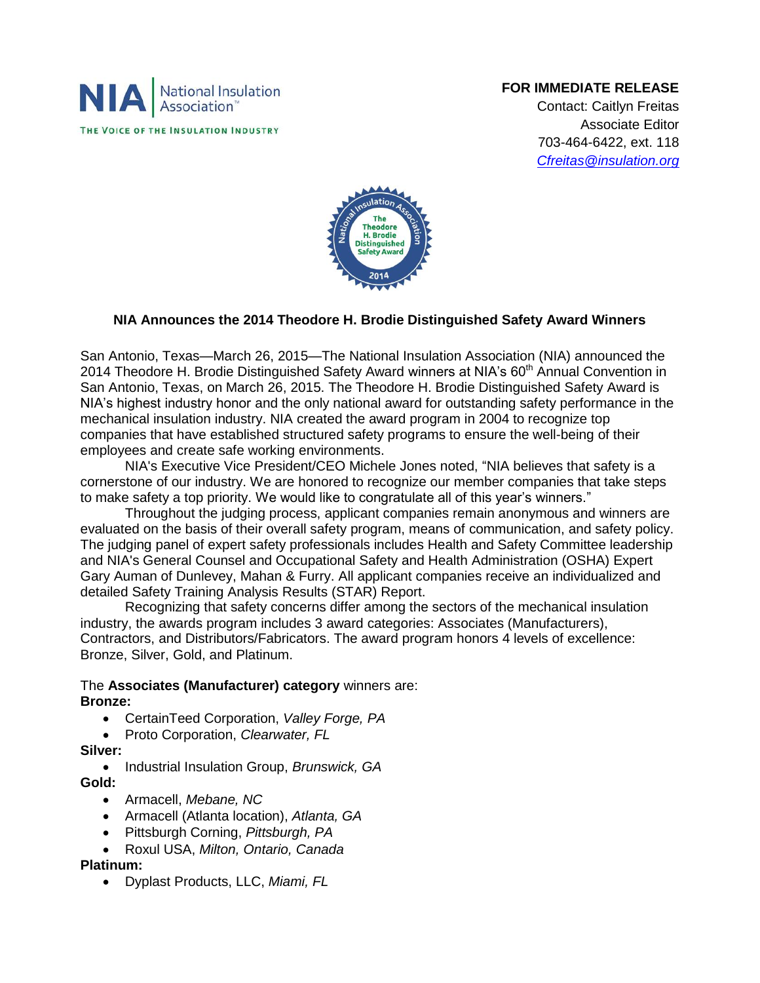

## **FOR IMMEDIATE RELEASE**

Contact: Caitlyn Freitas Associate Editor 703-464-6422, ext. 118 *[Cfreitas@insulation.org](mailto:Cfreitas@insulation.org)*



## **NIA Announces the 2014 Theodore H. Brodie Distinguished Safety Award Winners**

San Antonio, Texas—March 26, 2015—The National Insulation Association (NIA) announced the 2014 Theodore H. Brodie Distinguished Safety Award winners at NIA's 60<sup>th</sup> Annual Convention in San Antonio, Texas, on March 26, 2015. The Theodore H. Brodie Distinguished Safety Award is NIA's highest industry honor and the only national award for outstanding safety performance in the mechanical insulation industry. NIA created the award program in 2004 to recognize top companies that have established structured safety programs to ensure the well-being of their employees and create safe working environments.

NIA's Executive Vice President/CEO Michele Jones noted, "NIA believes that safety is a cornerstone of our industry. We are honored to recognize our member companies that take steps to make safety a top priority. We would like to congratulate all of this year's winners."

Throughout the judging process, applicant companies remain anonymous and winners are evaluated on the basis of their overall safety program, means of communication, and safety policy. The judging panel of expert safety professionals includes Health and Safety Committee leadership and NIA's General Counsel and Occupational Safety and Health Administration (OSHA) Expert Gary Auman of Dunlevey, Mahan & Furry. All applicant companies receive an individualized and detailed Safety Training Analysis Results (STAR) Report.

Recognizing that safety concerns differ among the sectors of the mechanical insulation industry, the awards program includes 3 award categories: Associates (Manufacturers), Contractors, and Distributors/Fabricators. The award program honors 4 levels of excellence: Bronze, Silver, Gold, and Platinum.

### The **Associates (Manufacturer) category** winners are: **Bronze:**

- CertainTeed Corporation, *Valley Forge, PA*
- Proto Corporation, *Clearwater, FL*
- **Silver:**
- Industrial Insulation Group, *Brunswick, GA* **Gold:**
	- Armacell, *Mebane, NC*
	- Armacell (Atlanta location), *Atlanta, GA*
	- Pittsburgh Corning, *Pittsburgh, PA*
	- Roxul USA, *Milton, Ontario, Canada*

### **Platinum:**

Dyplast Products, LLC, *Miami, FL*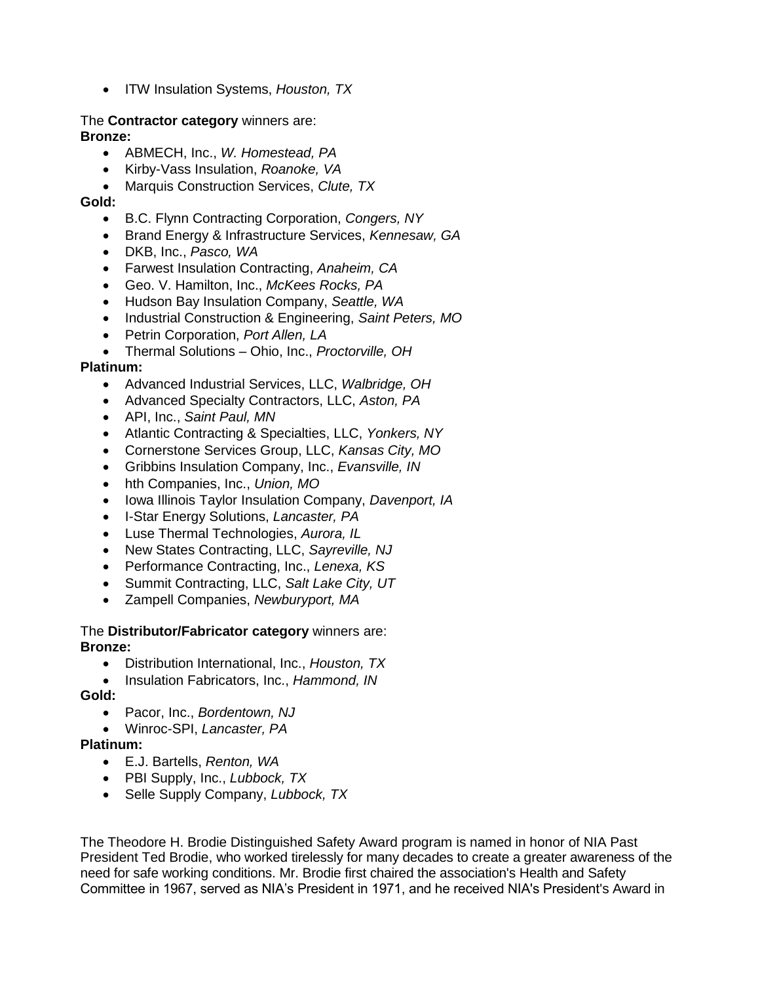ITW Insulation Systems, *Houston, TX*

# The **Contractor category** winners are:

**Bronze:** 

- ABMECH, Inc., *W. Homestead, PA*
- Kirby-Vass Insulation, *Roanoke, VA*
- Marquis Construction Services, *Clute, TX*

**Gold:**

- B.C. Flynn Contracting Corporation, *Congers, NY*
- Brand Energy & Infrastructure Services, *Kennesaw, GA*
- DKB, Inc., *Pasco, WA*
- Farwest Insulation Contracting, *Anaheim, CA*
- Geo. V. Hamilton, Inc., *McKees Rocks, PA*
- Hudson Bay Insulation Company, *Seattle, WA*
- Industrial Construction & Engineering, *Saint Peters, MO*
- Petrin Corporation, *Port Allen, LA*
- Thermal Solutions Ohio, Inc., *Proctorville, OH*

### **Platinum:**

- Advanced Industrial Services, LLC, *Walbridge, OH*
- Advanced Specialty Contractors, LLC, *Aston, PA*
- API, Inc., *Saint Paul, MN*
- Atlantic Contracting & Specialties, LLC, *Yonkers, NY*
- Cornerstone Services Group, LLC, *Kansas City, MO*
- Gribbins Insulation Company, Inc., *Evansville, IN*
- hth Companies, Inc., *Union, MO*
- Iowa Illinois Taylor Insulation Company, *Davenport, IA*
- I-Star Energy Solutions, *Lancaster, PA*
- Luse Thermal Technologies, *Aurora, IL*
- New States Contracting, LLC, *Sayreville, NJ*
- Performance Contracting, Inc., *Lenexa, KS*
- Summit Contracting, LLC, *Salt Lake City, UT*
- Zampell Companies, *Newburyport, MA*

#### The **Distributor/Fabricator category** winners are: **Bronze:**

- Distribution International, Inc., *Houston, TX*
- Insulation Fabricators, Inc., *Hammond, IN*

### **Gold:**

- Pacor, Inc., *Bordentown, NJ*
- Winroc-SPI, *Lancaster, PA*

### **Platinum:**

- E.J. Bartells, *Renton, WA*
- PBI Supply, Inc., *Lubbock, TX*
- Selle Supply Company, *Lubbock, TX*

The Theodore H. Brodie Distinguished Safety Award program is named in honor of NIA Past President Ted Brodie, who worked tirelessly for many decades to create a greater awareness of the need for safe working conditions. Mr. Brodie first chaired the association's Health and Safety Committee in 1967, served as NIA's President in 1971, and he received NIA's President's Award in